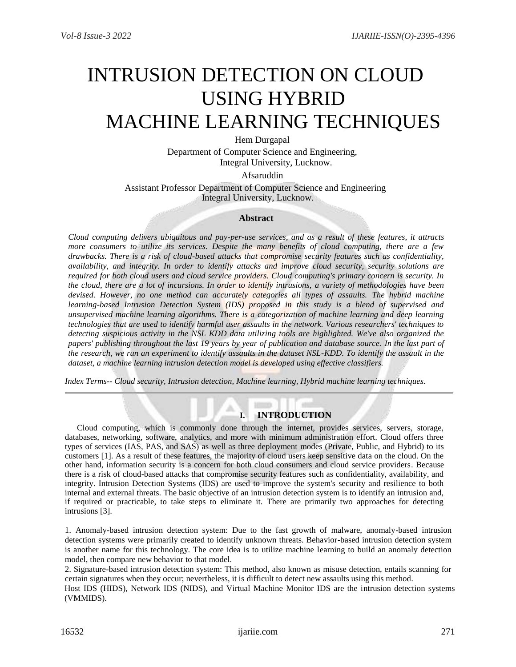# INTRUSION DETECTION ON CLOUD USING HYBRID MACHINE LEARNING TECHNIQUES

Hem Durgapal Department of Computer Science and Engineering, Integral University, Lucknow.

Afsaruddin

Assistant Professor Department of Computer Science and Engineering Integral University, Lucknow.

## **Abstract**

*Cloud computing delivers ubiquitous and pay-per-use services, and as a result of these features, it attracts more consumers to utilize its services. Despite the many benefits of cloud computing, there are a few drawbacks. There is a risk of cloud-based attacks that compromise security features such as confidentiality, availability, and integrity. In order to identify attacks and improve cloud security, security solutions are required for both cloud users and cloud service providers. Cloud computing's primary concern is security. In the cloud, there are a lot of incursions. In order to identify intrusions, a variety of methodologies have been devised. However, no one method can accurately categories all types of assaults. The hybrid machine learning-based Intrusion Detection System (IDS) proposed in this study is a blend of supervised and unsupervised machine learning algorithms. There is a categorization of machine learning and deep learning technologies that are used to identify harmful user assaults in the network. Various researchers' techniques to detecting suspicious activity in the NSL KDD data utilizing tools are highlighted. We've also organized the papers' publishing throughout the last 19 years by year of publication and database source. In the last part of the research, we run an experiment to identify assaults in the dataset NSL-KDD. To identify the assault in the dataset, a machine learning intrusion detection model is developed using effective classifiers.*

*Index Terms*-- *Cloud security, Intrusion detection, Machine learning, Hybrid machine learning techniques.*

# **I. INTRODUCTION**

Cloud computing, which is commonly done through the internet, provides services, servers, storage, databases, networking, software, analytics, and more with minimum administration effort. Cloud offers three types of services (IAS, PAS, and SAS) as well as three deployment modes (Private, Public, and Hybrid) to its customers [1]. As a result of these features, the majority of cloud users keep sensitive data on the cloud. On the other hand, information security is a concern for both cloud consumers and cloud service providers. Because there is a risk of cloud-based attacks that compromise security features such as confidentiality, availability, and integrity. Intrusion Detection Systems (IDS) are used to improve the system's security and resilience to both internal and external threats. The basic objective of an intrusion detection system is to identify an intrusion and, if required or practicable, to take steps to eliminate it. There are primarily two approaches for detecting intrusions [3].

1. Anomaly-based intrusion detection system: Due to the fast growth of malware, anomaly-based intrusion detection systems were primarily created to identify unknown threats. Behavior-based intrusion detection system is another name for this technology. The core idea is to utilize machine learning to build an anomaly detection model, then compare new behavior to that model.

2. Signature-based intrusion detection system: This method, also known as misuse detection, entails scanning for certain signatures when they occur; nevertheless, it is difficult to detect new assaults using this method.

Host IDS (HIDS), Network IDS (NIDS), and Virtual Machine Monitor IDS are the intrusion detection systems (VMMIDS).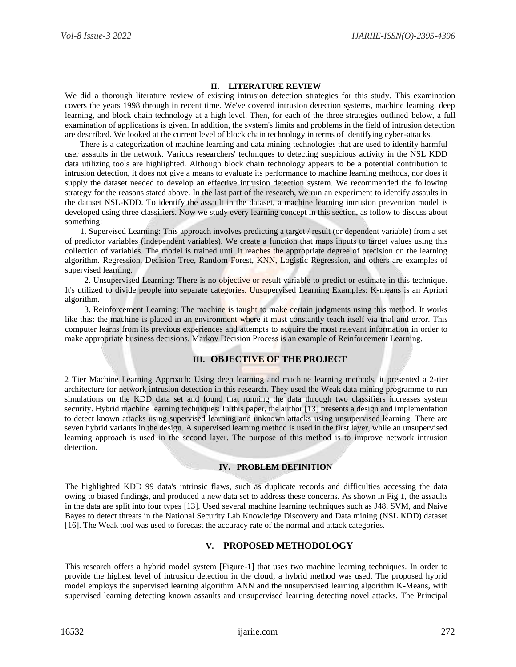## **II. LITERATURE REVIEW**

We did a thorough literature review of existing intrusion detection strategies for this study. This examination covers the years 1998 through in recent time. We've covered intrusion detection systems, machine learning, deep learning, and block chain technology at a high level. Then, for each of the three strategies outlined below, a full examination of applications is given. In addition, the system's limits and problems in the field of intrusion detection are described. We looked at the current level of block chain technology in terms of identifying cyber-attacks.

There is a categorization of machine learning and data mining technologies that are used to identify harmful user assaults in the network. Various researchers' techniques to detecting suspicious activity in the NSL KDD data utilizing tools are highlighted. Although block chain technology appears to be a potential contribution to intrusion detection, it does not give a means to evaluate its performance to machine learning methods, nor does it supply the dataset needed to develop an effective intrusion detection system. We recommended the following strategy for the reasons stated above. In the last part of the research, we run an experiment to identify assaults in the dataset NSL-KDD. To identify the assault in the dataset, a machine learning intrusion prevention model is developed using three classifiers. Now we study every learning concept in this section, as follow to discuss about something:

1. Supervised Learning: This approach involves predicting a target / result (or dependent variable) from a set of predictor variables (independent variables). We create a function that maps inputs to target values using this collection of variables. The model is trained until it reaches the appropriate degree of precision on the learning algorithm. Regression, Decision Tree, Random Forest, KNN, Logistic Regression, and others are examples of supervised learning.

2. Unsupervised Learning: There is no objective or result variable to predict or estimate in this technique. It's utilized to divide people into separate categories. Unsupervised Learning Examples: K-means is an Apriori algorithm.

3. Reinforcement Learning: The machine is taught to make certain judgments using this method. It works like this: the machine is placed in an environment where it must constantly teach itself via trial and error. This computer learns from its previous experiences and attempts to acquire the most relevant information in order to make appropriate business decisions. Markov Decision Process is an example of Reinforcement Learning.

# **III. OBJECTIVE OF THE PROJECT**

2 Tier Machine Learning Approach: Using deep learning and machine learning methods, it presented a 2-tier architecture for network intrusion detection in this research. They used the Weak data mining programme to run simulations on the KDD data set and found that running the data through two classifiers increases system security. Hybrid machine learning techniques: In this paper, the author [13] presents a design and implementation to detect known attacks using supervised learning and unknown attacks using unsupervised learning. There are seven hybrid variants in the design. A supervised learning method is used in the first layer, while an unsupervised learning approach is used in the second layer. The purpose of this method is to improve network intrusion detection.

#### **IV. PROBLEM DEFINITION**

The highlighted KDD 99 data's intrinsic flaws, such as duplicate records and difficulties accessing the data owing to biased findings, and produced a new data set to address these concerns. As shown in Fig 1, the assaults in the data are split into four types [13]. Used several machine learning techniques such as J48, SVM, and Naive Bayes to detect threats in the National Security Lab Knowledge Discovery and Data mining (NSL KDD) dataset [16]. The Weak tool was used to forecast the accuracy rate of the normal and attack categories.

#### **V. PROPOSED METHODOLOGY**

This research offers a hybrid model system [Figure-1] that uses two machine learning techniques. In order to provide the highest level of intrusion detection in the cloud, a hybrid method was used. The proposed hybrid model employs the supervised learning algorithm ANN and the unsupervised learning algorithm K-Means, with supervised learning detecting known assaults and unsupervised learning detecting novel attacks. The Principal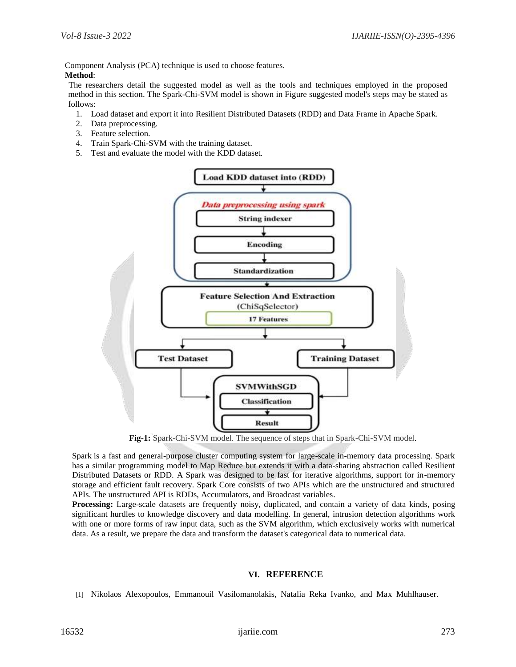Component Analysis (PCA) technique is used to choose features. **Method**:

The researchers detail the suggested model as well as the tools and techniques employed in the proposed method in this section. The Spark-Chi-SVM model is shown in Figure suggested model's steps may be stated as follows:

- 1. Load dataset and export it into Resilient Distributed Datasets (RDD) and Data Frame in Apache Spark.
- 2. Data preprocessing.
- 3. Feature selection.
- 4. Train Spark-Chi-SVM with the training dataset.
- 5. Test and evaluate the model with the KDD dataset.



**Fig-1:** Spark-Chi-SVM model. The sequence of steps that in Spark-Chi-SVM model.

Spark is a fast and general-purpose cluster computing system for large-scale in-memory data processing. Spark has a similar programming model to Map Reduce but extends it with a data-sharing abstraction called Resilient Distributed Datasets or RDD. A Spark was designed to be fast for iterative algorithms, support for in-memory storage and efficient fault recovery. Spark Core consists of two APIs which are the unstructured and structured APIs. The unstructured API is RDDs, Accumulators, and Broadcast variables.

**Processing:** Large-scale datasets are frequently noisy, duplicated, and contain a variety of data kinds, posing significant hurdles to knowledge discovery and data modelling. In general, intrusion detection algorithms work with one or more forms of raw input data, such as the SVM algorithm, which exclusively works with numerical data. As a result, we prepare the data and transform the dataset's categorical data to numerical data.

# **VI. REFERENCE**

[1] Nikolaos Alexopoulos, Emmanouil Vasilomanolakis, Natalia Reka Ivanko, and Max Muhlhauser.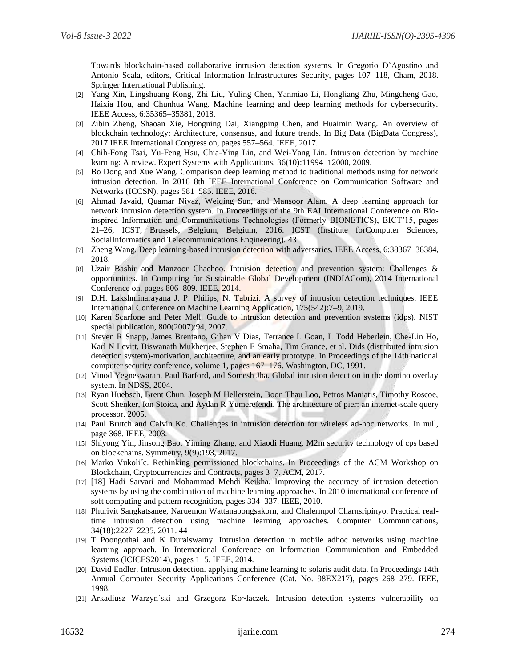Towards blockchain-based collaborative intrusion detection systems. In Gregorio D'Agostino and Antonio Scala, editors, Critical Information Infrastructures Security, pages 107–118, Cham, 2018. Springer International Publishing.

- [2] Yang Xin, Lingshuang Kong, Zhi Liu, Yuling Chen, Yanmiao Li, Hongliang Zhu, Mingcheng Gao, Haixia Hou, and Chunhua Wang. Machine learning and deep learning methods for cybersecurity. IEEE Access, 6:35365–35381, 2018.
- [3] Zibin Zheng, Shaoan Xie, Hongning Dai, Xiangping Chen, and Huaimin Wang. An overview of blockchain technology: Architecture, consensus, and future trends. In Big Data (BigData Congress), 2017 IEEE International Congress on, pages 557–564. IEEE, 2017.
- [4] Chih-Fong Tsai, Yu-Feng Hsu, Chia-Ying Lin, and Wei-Yang Lin. Intrusion detection by machine learning: A review. Expert Systems with Applications, 36(10):11994–12000, 2009.
- [5] Bo Dong and Xue Wang. Comparison deep learning method to traditional methods using for network intrusion detection. In 2016 8th IEEE International Conference on Communication Software and Networks (ICCSN), pages 581–585. IEEE, 2016.
- [6] Ahmad Javaid, Quamar Niyaz, Weiqing Sun, and Mansoor Alam. A deep learning approach for network intrusion detection system. In Proceedings of the 9th EAI International Conference on Bioinspired Information and Communications Technologies (Formerly BIONETICS), BICT'15, pages 21–26, ICST, Brussels, Belgium, Belgium, 2016. ICST (Institute forComputer Sciences, SocialInformatics and Telecommunications Engineering). 43
- [7] Zheng Wang. Deep learning-based intrusion detection with adversaries. IEEE Access, 6:38367–38384, 2018.
- [8] Uzair Bashir and Manzoor Chachoo. Intrusion detection and prevention system: Challenges & opportunities. In Computing for Sustainable Global Development (INDIACom), 2014 International Conference on, pages 806–809. IEEE, 2014.
- [9] D.H. Lakshminarayana J. P. Philips, N. Tabrizi. A survey of intrusion detection techniques. IEEE International Conference on Machine Learning Application, 175(542):7–9, 2019.
- [10] Karen Scarfone and Peter Mell. Guide to intrusion detection and prevention systems (idps). NIST special publication, 800(2007):94, 2007.
- [11] Steven R Snapp, James Brentano, Gihan V Dias, Terrance L Goan, L Todd Heberlein, Che-Lin Ho, Karl N Levitt, Biswanath Mukherjee, Stephen E Smaha, Tim Grance, et al. Dids (distributed intrusion detection system)-motivation, architecture, and an early prototype. In Proceedings of the 14th national computer security conference, volume 1, pages 167–176. Washington, DC, 1991.
- [12] Vinod Yegneswaran, Paul Barford, and Somesh Jha. Global intrusion detection in the domino overlay system. In NDSS, 2004.
- [13] Ryan Huebsch, Brent Chun, Joseph M Hellerstein, Boon Thau Loo, Petros Maniatis, Timothy Roscoe, Scott Shenker, Ion Stoica, and Aydan R Yumerefendi. The architecture of pier: an internet-scale query processor. 2005.
- [14] Paul Brutch and Calvin Ko. Challenges in intrusion detection for wireless ad-hoc networks. In null, page 368. IEEE, 2003.
- [15] Shiyong Yin, Jinsong Bao, Yiming Zhang, and Xiaodi Huang. M2m security technology of cps based on blockchains. Symmetry, 9(9):193, 2017.
- [16] Marko Vukoli´c. Rethinking permissioned blockchains. In Proceedings of the ACM Workshop on Blockchain, Cryptocurrencies and Contracts, pages 3–7. ACM, 2017.
- [17] [18] Hadi Sarvari and Mohammad Mehdi Keikha. Improving the accuracy of intrusion detection systems by using the combination of machine learning approaches. In 2010 international conference of soft computing and pattern recognition, pages 334–337. IEEE, 2010.
- [18] Phurivit Sangkatsanee, Naruemon Wattanapongsakorn, and Chalermpol Charnsripinyo. Practical realtime intrusion detection using machine learning approaches. Computer Communications, 34(18):2227–2235, 2011. 44
- [19] T Poongothai and K Duraiswamy. Intrusion detection in mobile adhoc networks using machine learning approach. In International Conference on Information Communication and Embedded Systems (ICICES2014), pages 1–5. IEEE, 2014.
- [20] David Endler. Intrusion detection. applying machine learning to solaris audit data. In Proceedings 14th Annual Computer Security Applications Conference (Cat. No. 98EX217), pages 268–279. IEEE, 1998.
- [21] Arkadiusz Warzyn´ski and Grzegorz Ko~laczek. Intrusion detection systems vulnerability on